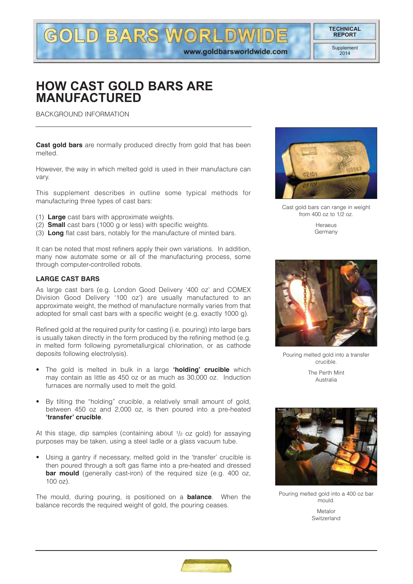www.goldbarsworldwide.com

 $\Box$ D)W

2014

# **HOW CAST GOLD BARS ARE MANUFACTURED**

BACKGROUND INFORMATION

**Cast gold bars** are normally produced directly from gold that has been melted.

**LD BARS WORL** 

However, the way in which melted gold is used in their manufacture can vary.

This supplement describes in outline some typical methods for manufacturing three types of cast bars:

- (1) **Large** cast bars with approximate weights.
- (2) **Small** cast bars (1000 g or less) with specific weights.
- (3) **Long** flat cast bars, notably for the manufacture of minted bars.

It can be noted that most refiners apply their own variations. In addition, many now automate some or all of the manufacturing process, some through computer-controlled robots.

## **LARGE CAST BARS**

As large cast bars (e.g. London Good Delivery '400 oz' and COMEX Division Good Delivery '100 oz') are usually manufactured to an approximate weight, the method of manufacture normally varies from that adopted for small cast bars with a specific weight (e.g. exactly 1000 g).

Refined gold at the required purity for casting (i.e. pouring) into large bars is usually taken directly in the form produced by the refining method (e.g. in melted form following pyrometallurgical chlorination, or as cathode deposits following electrolysis).

- The gold is melted in bulk in a large **ʻholding' crucible** which may contain as little as 450 oz or as much as 30,000 oz. Induction furnaces are normally used to melt the gold.
- By tilting the "holding" crucible, a relatively small amount of gold, between 450 oz and 2,000 oz, is then poured into a pre-heated **ʻtransfer' crucible**.

At this stage, dip samples (containing about  $1/2$  oz gold) for assaying purposes may be taken, using a steel ladle or a glass vacuum tube.

• Using a gantry if necessary, melted gold in the 'transfer' crucible is then poured through a soft gas flame into a pre-heated and dressed **bar mould** (generally cast-iron) of the required size (e.g. 400 oz, 100 oz).

The mould, during pouring, is positioned on a **balance**. When the balance records the required weight of gold, the pouring ceases.



Cast gold bars can range in weight from 400 oz to 1/2 oz.

Heraeus Germany



Pouring melted gold into a transfer crucible. The Perth Mint Australia



Pouring melted gold into a 400 oz bar mould.

Metalor Switzerland

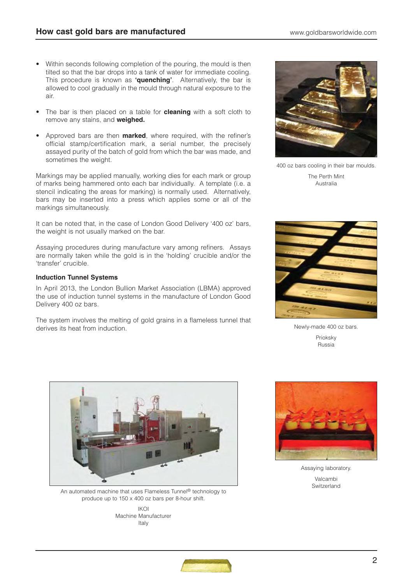- Within seconds following completion of the pouring, the mould is then tilted so that the bar drops into a tank of water for immediate cooling. This procedure is known as **ʻquenching'**. Alternatively, the bar is allowed to cool gradually in the mould through natural exposure to the air.
- The bar is then placed on a table for **cleaning** with a soft cloth to remove any stains, and **weighed.**
- Approved bars are then **marked**, where required, with the refiner's official stamp/certification mark, a serial number, the precisely assayed purity of the batch of gold from which the bar was made, and sometimes the weight.

Markings may be applied manually, working dies for each mark or group of marks being hammered onto each bar individually. A template (i.e. a stencil indicating the areas for marking) is normally used. Alternatively, bars may be inserted into a press which applies some or all of the markings simultaneously.

It can be noted that, in the case of London Good Delivery '400 oz' bars, the weight is not usually marked on the bar.

Assaying procedures during manufacture vary among refiners. Assays are normally taken while the gold is in the 'holding' crucible and/or the 'transfer' crucible.

#### **Induction Tunnel Systems**

In April 2013, the London Bullion Market Association (LBMA) approved the use of induction tunnel systems in the manufacture of London Good Delivery 400 oz bars.

The system involves the melting of gold grains in a flameless tunnel that derives its heat from induction.



400 oz bars cooling in their bar moulds.

The Perth Mint Australia



Newly-made 400 oz bars. Prioksky Russia



An automated machine that uses Flameless Tunnel® technology to produce up to 150 x 400 oz bars per 8-hour shift.

IKOI Machine Manufacturer Italy



Assaying laboratory. Valcambi Switzerland

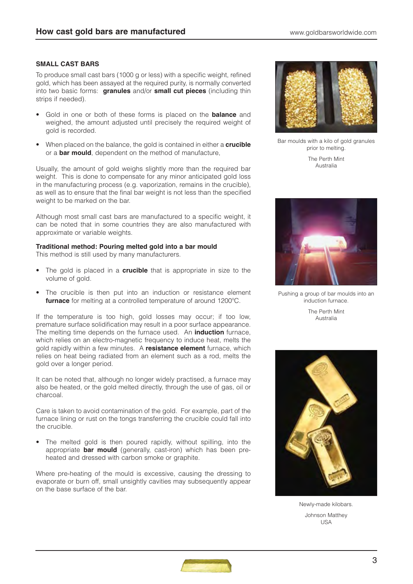## **SMALL CAST BARS**

To produce small cast bars (1000 g or less) with a specific weight, refined gold, which has been assayed at the required purity, is normally converted into two basic forms: **granules** and/or **small cut pieces** (including thin strips if needed).

- Gold in one or both of these forms is placed on the **balance** and weighed, the amount adjusted until precisely the required weight of gold is recorded.
- When placed on the balance, the gold is contained in either a **crucible** or a **bar mould**, dependent on the method of manufacture,

Usually, the amount of gold weighs slightly more than the required bar weight. This is done to compensate for any minor anticipated gold loss in the manufacturing process (e.g. vaporization, remains in the crucible), as well as to ensure that the final bar weight is not less than the specified weight to be marked on the bar.

Although most small cast bars are manufactured to a specific weight, it can be noted that in some countries they are also manufactured with approximate or variable weights.

# **Traditional method: Pouring melted gold into a bar mould**

This method is still used by many manufacturers.

- The gold is placed in a **crucible** that is appropriate in size to the volume of gold.
- The crucible is then put into an induction or resistance element **furnace** for melting at a controlled temperature of around 1200°C.

If the temperature is too high, gold losses may occur; if too low, premature surface solidification may result in a poor surface appearance. The melting time depends on the furnace used. An **induction** furnace, which relies on an electro-magnetic frequency to induce heat, melts the gold rapidly within a few minutes. A **resistance element** furnace, which relies on heat being radiated from an element such as a rod, melts the gold over a longer period.

It can be noted that, although no longer widely practised, a furnace may also be heated, or the gold melted directly, through the use of gas, oil or charcoal.

Care is taken to avoid contamination of the gold. For example, part of the furnace lining or rust on the tongs transferring the crucible could fall into the crucible.

The melted gold is then poured rapidly, without spilling, into the appropriate **bar mould** (generally, cast-iron) which has been preheated and dressed with carbon smoke or graphite.

Where pre-heating of the mould is excessive, causing the dressing to evaporate or burn off, small unsightly cavities may subsequently appear on the base surface of the bar.



Bar moulds with a kilo of gold granules prior to melting.

> The Perth Mint Australia



Pushing a group of bar moulds into an induction furnace.

The Perth Mint Australia



Newly-made kilobars. Johnson Matthey **USA** 

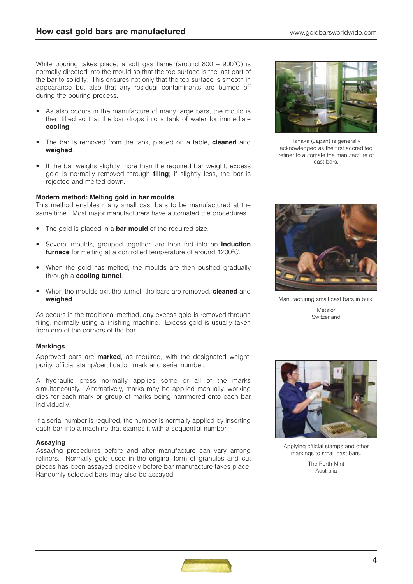While pouring takes place, a soft gas flame (around 800 – 900°C) is normally directed into the mould so that the top surface is the last part of the bar to solidify. This ensures not only that the top surface is smooth in appearance but also that any residual contaminants are burned off during the pouring process.

- As also occurs in the manufacture of many large bars, the mould is then tilted so that the bar drops into a tank of water for immediate **cooling**.
- The bar is removed from the tank, placed on a table, **cleaned** and **weighed**.
- If the bar weighs slightly more than the required bar weight, excess gold is normally removed through **filing**; if slightly less, the bar is rejected and melted down.

## **Modern method: Melting gold in bar moulds**

This method enables many small cast bars to be manufactured at the same time. Most major manufacturers have automated the procedures.

- The gold is placed in a **bar mould** of the required size.
- Several moulds, grouped together, are then fed into an **induction furnace** for melting at a controlled temperature of around 1200ºC.
- When the gold has melted, the moulds are then pushed gradually through a **cooling tunnel**.
- When the moulds exit the tunnel, the bars are removed, **cleaned** and **weighed**.

As occurs in the traditional method, any excess gold is removed through filing, normally using a linishing machine. Excess gold is usually taken from one of the corners of the bar.

# **Markings**

Approved bars are **marked**, as required, with the designated weight, purity, official stamp/certification mark and serial number.

A hydraulic press normally applies some or all of the marks simultaneously. Alternatively, marks may be applied manually, working dies for each mark or group of marks being hammered onto each bar individually.

If a serial number is required, the number is normally applied by inserting each bar into a machine that stamps it with a sequential number.

# **Assaying**

Assaying procedures before and after manufacture can vary among refiners. Normally gold used in the original form of granules and cut pieces has been assayed precisely before bar manufacture takes place. Randomly selected bars may also be assayed.



Tanaka (Japan) is generally acknowledged as the first accredited refiner to automate the manufacture of cast bars.



Manufacturing small cast bars in bulk.

Metalor Switzerland



Applying official stamps and other markings to small cast bars.

The Perth Mint Australia